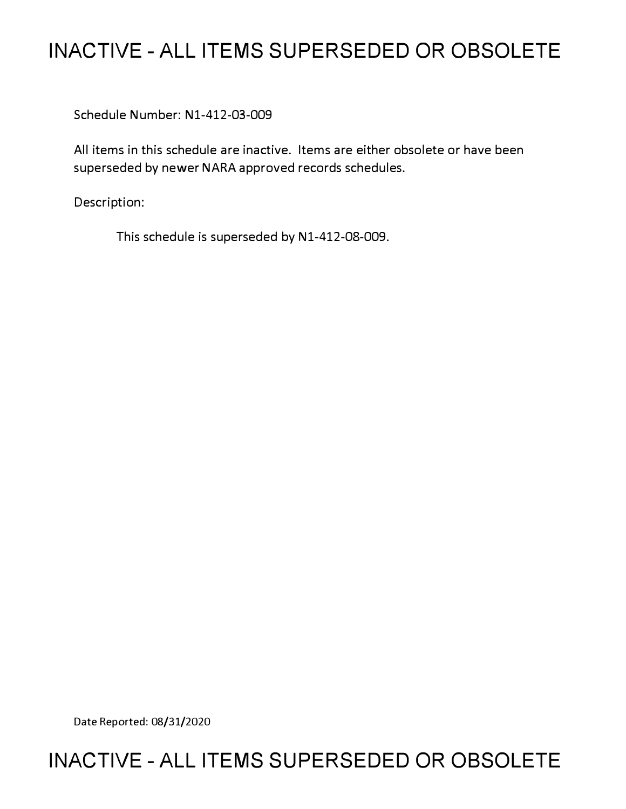# **INACTIVE - ALL ITEMS SUPERSEDED OR OBSOLETE**

Schedule Number: Nl-412-03-009

All items in this schedule are inactive. Items are either obsolete or have been superseded by newer NARA approved records schedules.

Description:

This schedule is superseded by N1-412-08-009.

Date Reported: 08/31/2020

# **INACTIVE - ALL ITEMS SUPERSEDED OR OBSOLETE**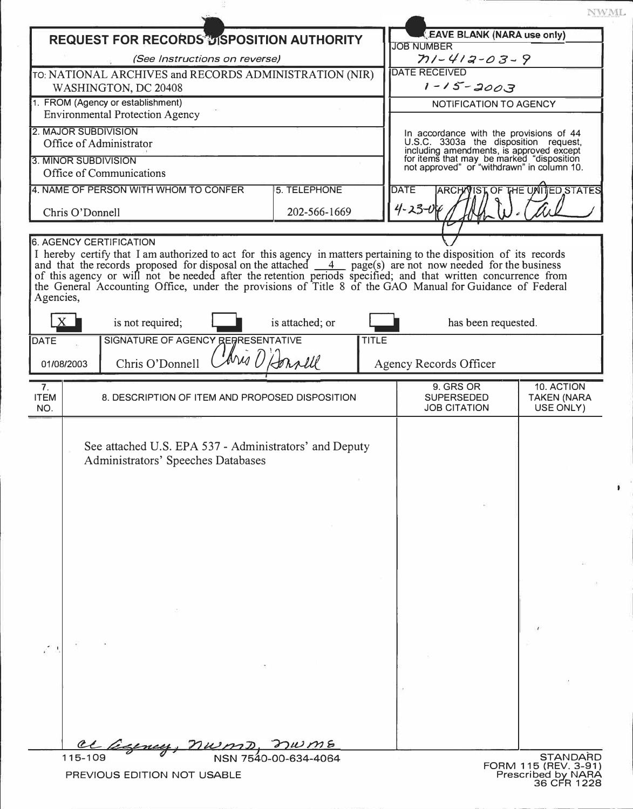|                                                                             |                                                                                                                                                                                                                                                                                                                                                                                                                                                                    |                 |              |                                                                                                                                                                                                                         | NWML                                          |
|-----------------------------------------------------------------------------|--------------------------------------------------------------------------------------------------------------------------------------------------------------------------------------------------------------------------------------------------------------------------------------------------------------------------------------------------------------------------------------------------------------------------------------------------------------------|-----------------|--------------|-------------------------------------------------------------------------------------------------------------------------------------------------------------------------------------------------------------------------|-----------------------------------------------|
|                                                                             | <b>REQUEST FOR RECORDS DISPOSITION AUTHORITY</b>                                                                                                                                                                                                                                                                                                                                                                                                                   |                 |              | <b>EAVE BLANK (NARA use only)</b>                                                                                                                                                                                       |                                               |
| (See Instructions on reverse)                                               |                                                                                                                                                                                                                                                                                                                                                                                                                                                                    |                 |              | <b>JOB NUMBER</b><br>$71 - 412 - 03 - 9$                                                                                                                                                                                |                                               |
| TO: NATIONAL ARCHIVES and RECORDS ADMINISTRATION (NIR)                      |                                                                                                                                                                                                                                                                                                                                                                                                                                                                    |                 |              | <b>DATE RECEIVED</b>                                                                                                                                                                                                    |                                               |
| WASHINGTON, DC 20408                                                        |                                                                                                                                                                                                                                                                                                                                                                                                                                                                    |                 |              | $1 - 15 - 2003$                                                                                                                                                                                                         |                                               |
| 1. FROM (Agency or establishment)<br><b>Environmental Protection Agency</b> |                                                                                                                                                                                                                                                                                                                                                                                                                                                                    |                 |              | NOTIFICATION TO AGENCY                                                                                                                                                                                                  |                                               |
| 2. MAJOR SUBDIVISION                                                        |                                                                                                                                                                                                                                                                                                                                                                                                                                                                    |                 |              |                                                                                                                                                                                                                         |                                               |
| Office of Administrator<br>3. MINOR SUBDIVISION                             |                                                                                                                                                                                                                                                                                                                                                                                                                                                                    |                 |              | In accordance with the provisions of 44<br>U.S.C. 3303a the disposition request,<br>including amendments, is approved except<br>for items that may be marked "disposition<br>not approved" or "withdrawn" in column 10. |                                               |
|                                                                             | Office of Communications                                                                                                                                                                                                                                                                                                                                                                                                                                           |                 |              |                                                                                                                                                                                                                         |                                               |
|                                                                             | 4. NAME OF PERSON WITH WHOM TO CONFER                                                                                                                                                                                                                                                                                                                                                                                                                              | 5. TELEPHONE    |              | <b>DATE</b><br>ARCHW                                                                                                                                                                                                    | IST OF THE UNITED STATES                      |
| 202-566-1669<br>Chris O'Donnell                                             |                                                                                                                                                                                                                                                                                                                                                                                                                                                                    |                 |              | $4 - 23 - 04$                                                                                                                                                                                                           |                                               |
|                                                                             |                                                                                                                                                                                                                                                                                                                                                                                                                                                                    |                 |              |                                                                                                                                                                                                                         |                                               |
| Agencies,                                                                   | I hereby certify that I am authorized to act for this agency in matters pertaining to the disposition of its records and that the records proposed for disposal on the attached $\frac{4}{\sqrt{2}}$ page(s) are not now needed for t<br>of this agency or will not be needed after the retention periods specified; and that written concurrence from<br>the General Accounting Office, under the provisions of Title 8 of the GAO Manual for Guidance of Federal |                 |              |                                                                                                                                                                                                                         |                                               |
|                                                                             | is not required;                                                                                                                                                                                                                                                                                                                                                                                                                                                   | is attached; or |              | has been requested.                                                                                                                                                                                                     |                                               |
| <b>DATE</b>                                                                 | SIGNATURE OF AGENCY REPRESENTATIVE                                                                                                                                                                                                                                                                                                                                                                                                                                 |                 | <b>TITLE</b> |                                                                                                                                                                                                                         |                                               |
| 01/08/2003                                                                  | Chris O'Donnell                                                                                                                                                                                                                                                                                                                                                                                                                                                    | Aris D'Honnell  |              | <b>Agency Records Officer</b>                                                                                                                                                                                           |                                               |
| 7 <sub>1</sub><br><b>ITEM</b><br>NO.                                        | 8. DESCRIPTION OF ITEM AND PROPOSED DISPOSITION                                                                                                                                                                                                                                                                                                                                                                                                                    |                 |              | 9. GRS OR<br><b>SUPERSEDED</b><br><b>JOB CITATION</b>                                                                                                                                                                   | 10. ACTION<br><b>TAKEN (NARA</b><br>USE ONLY) |
|                                                                             | See attached U.S. EPA 537 - Administrators' and Deputy<br>Administrators' Speeches Databases                                                                                                                                                                                                                                                                                                                                                                       |                 |              |                                                                                                                                                                                                                         |                                               |
|                                                                             |                                                                                                                                                                                                                                                                                                                                                                                                                                                                    |                 |              |                                                                                                                                                                                                                         |                                               |
|                                                                             |                                                                                                                                                                                                                                                                                                                                                                                                                                                                    |                 |              |                                                                                                                                                                                                                         |                                               |

ş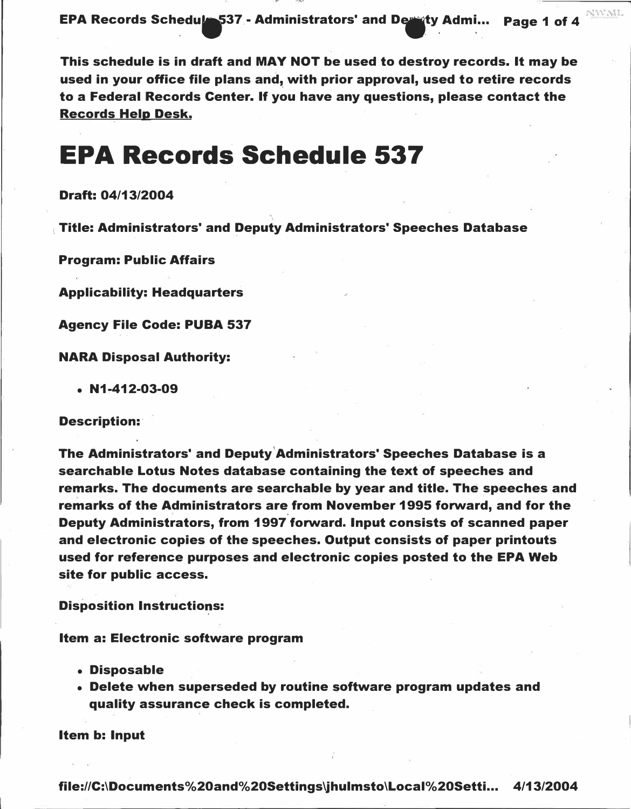EPA Records Schedule 537 - Administrators' and Deringty Admi... Page 1 of 4 **NUMI** 

This schedule is in draft and MAY NOT be used to destroy records. It may be used in your office file plans and, with prior approval, used to retire records to a Federal Records Center. If you have any questions, please contact the Records Help Desk.

# **EPA Records Schedule 537**

### Draft: 04/13/2004

Title: Administrators' and Deputy Administrators' Speeches Database

Program: Public Affairs

Applicability: Headquarters

Agency File Code: PUBA 537

NARA Disposal Authority:

 $\bullet$  N1-412-03-09

### Description:

The Administrators' and Deputy'Administrators' Speeches Database is a searchable Lotus Notes database containing the text of speeches and remarks. The documents are searchable by year and title. The speeches and remarks of the Administrators are from November 1995 forward, and for the Deputy Administrators, from 1997 forward. Input consists of scanned paper and electronic copies of the speeches. Output consists of paper printouts used for reference purposes and electronic copies posted to the EPA Web site for public access.

**Disposition Instructions:** 

Item a: Electronic software program

- Disposable
- Delete when superseded by routine software program updates and quality assurance check is completed.

Item b: Input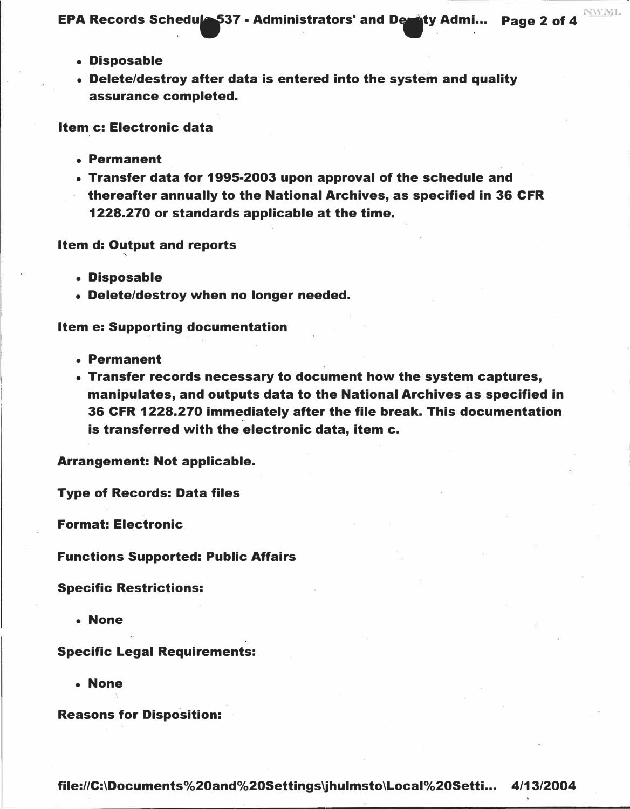**EPA Records Schedule 537 - Administrators' and Designty Admi...** Page 2 of 4

- Disposable
- Delete/destroy after data is entered into the system and quality assurance completed.

Item c: Electronic data

- Permanent
- Transfer data for 1995-2003 upon approval of the schedule and thereafter annually to the National Archives, as specified in 36 CFR 1228.270 or standards applicable at the time.

#### Item d: Output and reports

- Disposable
- Delete/destroy when no longer needed.

### Item e: Supporting documentation

- Permanent
- Transfer records necessary to document how the system captures, manipulates, and outputs data to the National Archives as specified in 36 CFR 1228.270 immediately after the file break. This documentation is transferred with the electronic data, item c.

Arrangement: Not applicable.

Type of Records: Data files

Format: Electronic

Functions Supported: Public Affairs

Specific Restrictions:

• None

### Specific Legal Requirements:

• None

Reasons for Disposition: